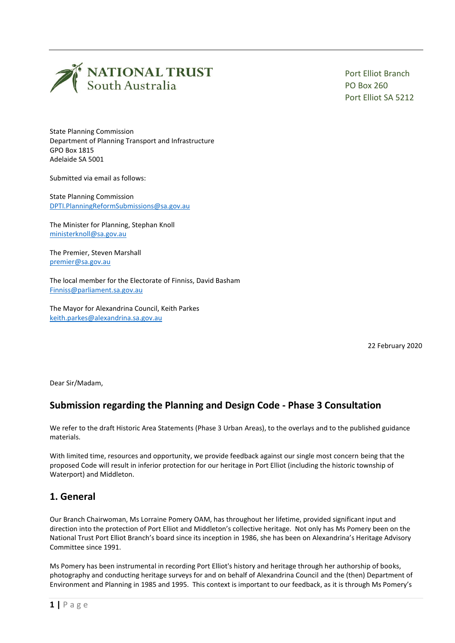

Port Elliot Branch PO Box 260 Port Elliot SA 5212

State Planning Commission Department of Planning Transport and Infrastructure GPO Box 1815 Adelaide SA 5001

Submitted via email as follows:

State Planning Commission [DPTI.PlanningReformSubmissions@sa.gov.au](mailto:DPTI.PlanningReformSubmissions@sa.gov.au)

The Minister for Planning, Stephan Knoll [ministerknoll@sa.gov.au](mailto:ministerknoll@sa.gov.au)

The Premier, Steven Marshall [premier@sa.gov.au](mailto:premier@sa.gov.au)

The local member for the Electorate of Finniss, David Basham [Finniss@parliament.sa.gov.au](mailto:Finniss@parliament.sa.gov.au)

The Mayor for Alexandrina Council, Keith Parkes [keith.parkes@alexandrina.sa.gov.au](mailto:keith.parkes@alexandrina.sa.gov.au)

22 February 2020

Dear Sir/Madam,

## **Submission regarding the Planning and Design Code - Phase 3 Consultation**

We refer to the draft Historic Area Statements (Phase 3 Urban Areas), to the overlays and to the published guidance materials.

With limited time, resources and opportunity, we provide feedback against our single most concern being that the proposed Code will result in inferior protection for our heritage in Port Elliot (including the historic township of Waterport) and Middleton.

### **1. General**

Our Branch Chairwoman, Ms Lorraine Pomery OAM, has throughout her lifetime, provided significant input and direction into the protection of Port Elliot and Middleton's collective heritage. Not only has Ms Pomery been on the National Trust Port Elliot Branch's board since its inception in 1986, she has been on Alexandrina's Heritage Advisory Committee since 1991.

Ms Pomery has been instrumental in recording Port Elliot's history and heritage through her authorship of books, photography and conducting heritage surveys for and on behalf of Alexandrina Council and the (then) Department of Environment and Planning in 1985 and 1995. This context is important to our feedback, as it is through Ms Pomery's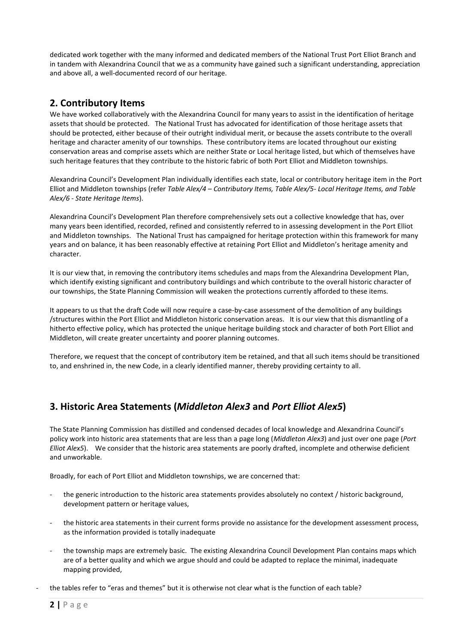dedicated work together with the many informed and dedicated members of the National Trust Port Elliot Branch and in tandem with Alexandrina Council that we as a community have gained such a significant understanding, appreciation and above all, a well-documented record of our heritage.

## **2. Contributory Items**

We have worked collaboratively with the Alexandrina Council for many years to assist in the identification of heritage assets that should be protected. The National Trust has advocated for identification of those heritage assets that should be protected, either because of their outright individual merit, or because the assets contribute to the overall heritage and character amenity of our townships. These contributory items are located throughout our existing conservation areas and comprise assets which are neither State or Local heritage listed, but which of themselves have such heritage features that they contribute to the historic fabric of both Port Elliot and Middleton townships.

Alexandrina Council's Development Plan individually identifies each state, local or contributory heritage item in the Port Elliot and Middleton townships (refer *Table Alex/4 – Contributory Items, Table Alex/5- Local Heritage Items, and Table Alex/6 - State Heritage Items*).

Alexandrina Council's Development Plan therefore comprehensively sets out a collective knowledge that has, over many years been identified, recorded, refined and consistently referred to in assessing development in the Port Elliot and Middleton townships. The National Trust has campaigned for heritage protection within this framework for many years and on balance, it has been reasonably effective at retaining Port Elliot and Middleton's heritage amenity and character.

It is our view that, in removing the contributory items schedules and maps from the Alexandrina Development Plan, which identify existing significant and contributory buildings and which contribute to the overall historic character of our townships, the State Planning Commission will weaken the protections currently afforded to these items.

It appears to us that the draft Code will now require a case-by-case assessment of the demolition of any buildings /structures within the Port Elliot and Middleton historic conservation areas. It is our view that this dismantling of a hitherto effective policy, which has protected the unique heritage building stock and character of both Port Elliot and Middleton, will create greater uncertainty and poorer planning outcomes.

Therefore, we request that the concept of contributory item be retained, and that all such items should be transitioned to, and enshrined in, the new Code, in a clearly identified manner, thereby providing certainty to all.

# **3. Historic Area Statements (***Middleton Alex3* **and** *Port Elliot Alex5***)**

The State Planning Commission has distilled and condensed decades of local knowledge and Alexandrina Council's policy work into historic area statements that are less than a page long (*Middleton Alex3*) and just over one page (*Port Elliot Alex5*). We consider that the historic area statements are poorly drafted, incomplete and otherwise deficient and unworkable.

Broadly, for each of Port Elliot and Middleton townships, we are concerned that:

- the generic introduction to the historic area statements provides absolutely no context / historic background, development pattern or heritage values,
- the historic area statements in their current forms provide no assistance for the development assessment process, as the information provided is totally inadequate
- the township maps are extremely basic. The existing Alexandrina Council Development Plan contains maps which are of a better quality and which we argue should and could be adapted to replace the minimal, inadequate mapping provided,
- the tables refer to "eras and themes" but it is otherwise not clear what is the function of each table?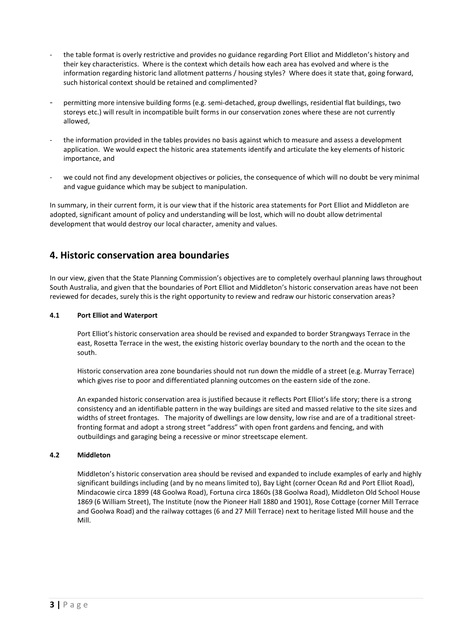- the table format is overly restrictive and provides no guidance regarding Port Elliot and Middleton's history and their key characteristics. Where is the context which details how each area has evolved and where is the information regarding historic land allotment patterns / housing styles? Where does it state that, going forward, such historical context should be retained and complimented?
- permitting more intensive building forms (e.g. semi-detached, group dwellings, residential flat buildings, two storeys etc.) will result in incompatible built forms in our conservation zones where these are not currently allowed,
- the information provided in the tables provides no basis against which to measure and assess a development application. We would expect the historic area statements identify and articulate the key elements of historic importance, and
- we could not find any development objectives or policies, the consequence of which will no doubt be very minimal and vague guidance which may be subject to manipulation.

In summary, in their current form, it is our view that if the historic area statements for Port Elliot and Middleton are adopted, significant amount of policy and understanding will be lost, which will no doubt allow detrimental development that would destroy our local character, amenity and values.

### **4. Historic conservation area boundaries**

In our view, given that the State Planning Commission's objectives are to completely overhaul planning laws throughout South Australia, and given that the boundaries of Port Elliot and Middleton's historic conservation areas have not been reviewed for decades, surely this is the right opportunity to review and redraw our historic conservation areas?

#### **4.1 Port Elliot and Waterport**

Port Elliot's historic conservation area should be revised and expanded to border Strangways Terrace in the east, Rosetta Terrace in the west, the existing historic overlay boundary to the north and the ocean to the south.

Historic conservation area zone boundaries should not run down the middle of a street (e.g. Murray Terrace) which gives rise to poor and differentiated planning outcomes on the eastern side of the zone.

An expanded historic conservation area is justified because it reflects Port Elliot's life story; there is a strong consistency and an identifiable pattern in the way buildings are sited and massed relative to the site sizes and widths of street frontages. The majority of dwellings are low density, low rise and are of a traditional streetfronting format and adopt a strong street "address" with open front gardens and fencing, and with outbuildings and garaging being a recessive or minor streetscape element.

#### **4.2 Middleton**

Middleton's historic conservation area should be revised and expanded to include examples of early and highly significant buildings including (and by no means limited to), Bay Light (corner Ocean Rd and Port Elliot Road), Mindacowie circa 1899 (48 Goolwa Road), Fortuna circa 1860s (38 Goolwa Road), Middleton Old School House 1869 (6 William Street), The Institute (now the Pioneer Hall 1880 and 1901), Rose Cottage (corner Mill Terrace and Goolwa Road) and the railway cottages (6 and 27 Mill Terrace) next to heritage listed Mill house and the Mill.